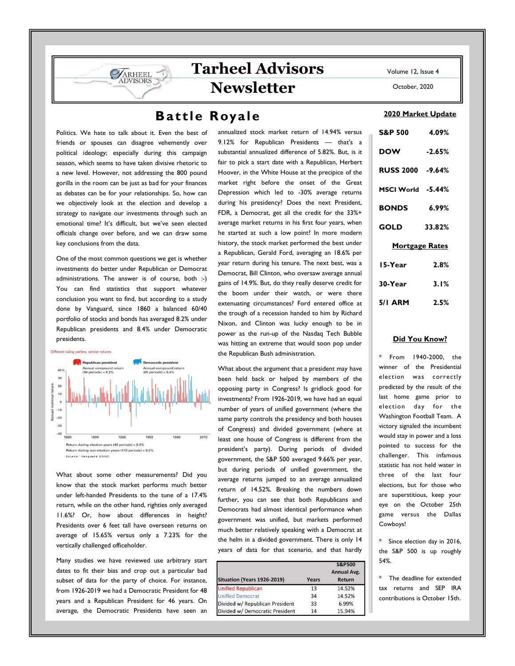Volume 12, Issue 4 **Tarheel Advisors** 

**Newsletter** 

## Battle Royale

Politics. We hate to talk about it. Even the best of friends or spouses can disagree vehemently over political ideology; especially during this campaign season, which seems to have taken divisive rhetoric to a new level. However, not addressing the 800 pound gorilla in the room can be just as bad for your finances as debates can be for your relationships. So, how can we objectively look at the election and develop a strategy to navigate our investments through such an emotional time? It's difficult, but we've seen elected officials change over before, and we can draw some key conclusions from the data.

**SARHEEL** 

One of the most common questions we get is whether investments do better under Republican or Democrat administrations. The answer is of course, both :-) You can find statistics that support whatever conclusion you want to find, but according to a study done by Vanguard, since 1860 a balanced 60/40 portfolio of stocks and bonds has averaged 8.2% under Republican presidents and 8.4% under Democratic presidents.



What about some other measurements? Did you know that the stock market performs much better under left-handed Presidents to the tune of a 17.4% return, while on the other hand, righties only averaged 11.6%? Or, how about differences in height? Presidents over 6 feet tall have overseen returns on average of 15.65% versus only a 7.23% for the vertically challenged officeholder.

Many studies we have reviewed use arbitrary start dates to fit their bias and crop out a particular bad subset of data for the party of choice. For instance, from 1926-2019 we had a Democratic President for 48 years and a Republican President for 46 years. On average, the Democratic Presidents have seen an

annualized stock market return of 14.94% versus 9.12% for Republican Presidents — that's a substantial annualized difference of 5.82%. But, is it fair to pick a start date with a Republican, Herbert Hoover, in the White House at the precipice of the market right before the onset of the Great Depression which led to -30% average returns during his presidency? Does the next President, FDR, a Democrat, get all the credit for the 33%+ average market returns in his first four years, when he started at such a low point? In more modern history, the stock market performed the best under a Republican, Gerald Ford, averaging an 18.6% per year return during his tenure. The next best, was a Democrat, Bill Clinton, who oversaw average annual gains of 14.9%. But, do they really deserve credit for the boom under their watch, or were there extenuating circumstances? Ford entered office at the trough of a recession handed to him by Richard Nixon, and Clinton was lucky enough to be in power as the run-up of the Nasdaq Tech Bubble was hitting an extreme that would soon pop under the Republican Bush administration.

What about the argument that a president may have been held back or helped by members of the opposing party in Congress? Is gridlock good for investments? From 1926-2019, we have had an equal number of years of unified government (where the same party controls the presidency and both houses of Congress) and divided government (where at least one house of Congress is different from the president's party). During periods of divided government, the S&P 500 averaged 9.66% per year, but during periods of unified government, the average returns jumped to an average annualized return of 14.52%. Breaking the numbers down further, you can see that both Republicans and Democrats had almost identical performance when government was unified, but markets performed much better relatively speaking with a Democrat at the helm in a divided government. There is only 14 years of data for that scenario, and that hardly

| Situation (Years 1926-2019)     | Years | <b>S&amp;P500</b><br><b>Annual Avg.</b><br>Return |
|---------------------------------|-------|---------------------------------------------------|
| <b>Unified Republican</b>       | 13    | 14.52%                                            |
| <b>Unified Democrat</b>         | 34    | 14.52%                                            |
| Divided w/ Republican President | 33    | 6.99%                                             |
| Divided w/ Democratic President | 14    | 15.94%                                            |

October, 2020

### 2020 Market Update

| <b>S&amp;P 500</b>    | 4.09%    |  |
|-----------------------|----------|--|
| <b>DOW</b>            | $-2.65%$ |  |
| RUSS 2000 -9.64%      |          |  |
| MSCI World -5.44%     |          |  |
| <b>BONDS</b>          | 6.99%    |  |
| <b>GOLD</b>           | 33.82%   |  |
| <b>Mortgage Rates</b> |          |  |
| 15-Year               | 2.8%     |  |
| 30-Year               | 3.1%     |  |
| 5/I ARM               | 2.5%     |  |

## Did You Know?

From 1940-2000, the winner of the Presidential election was correctly predicted by the result of the last home game prior to election day for the Washington Football Team. A victory signaled the incumbent would stay in power and a loss pointed to success for the challenger. This infamous statistic has not held water in three of the last four elections, but for those who are superstitious, keep your eye on the October 25th game versus the Dallas Cowboys!

Since election day in 2016, the S&P 500 is up roughly 54%.

The deadline for extended tax returns and SEP IRA contributions is October 15th.